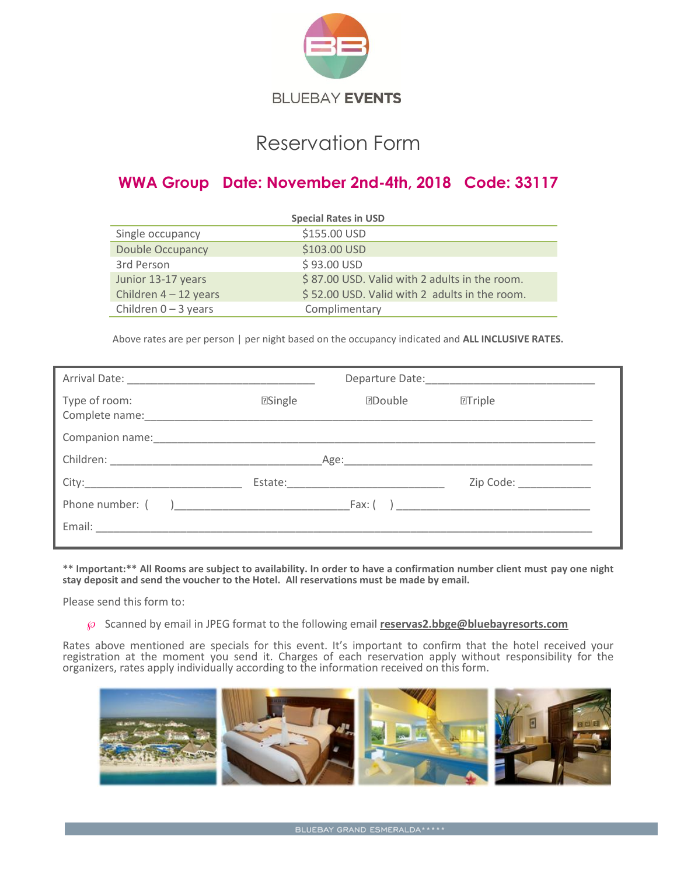

# Reservation Form

## **WWA Group Date: November 2nd-4th, 2018 Code: 33117**

| <b>Special Rates in USD</b> |                                               |  |
|-----------------------------|-----------------------------------------------|--|
| Single occupancy            | \$155.00 USD                                  |  |
| <b>Double Occupancy</b>     | \$103.00 USD                                  |  |
| 3rd Person                  | \$93.00 USD                                   |  |
| Junior 13-17 years          | \$87.00 USD. Valid with 2 adults in the room. |  |
| Children $4 - 12$ years     | \$52.00 USD. Valid with 2 adults in the room. |  |
| Children $0 - 3$ years      | Complimentary                                 |  |

Above rates are per person | per night based on the occupancy indicated and **ALL INCLUSIVE RATES.**

| Type of room: | <b>2Single</b> | <b>Double</b> | $T$ Triple               |
|---------------|----------------|---------------|--------------------------|
|               |                |               |                          |
|               |                |               |                          |
|               |                |               | Zip Code: National Code: |
|               |                |               |                          |
|               |                |               |                          |

**\*\* Important:\*\* All Rooms are subject to availability. In order to have a confirmation number client must pay one night stay deposit and send the voucher to the Hotel. All reservations must be made by email.**

Please send this form to:

Scanned by email in JPEG format to the following email **[reservas2.bbge@bluebayresorts.com](mailto:reservas2.bbge@bluebayresorts.com)**

Rates above mentioned are specials for this event. It's important to confirm that the hotel received your registration at the moment you send it. Charges of each reservation apply without responsibility for the organizers, rates apply individually according to the information received on this form.